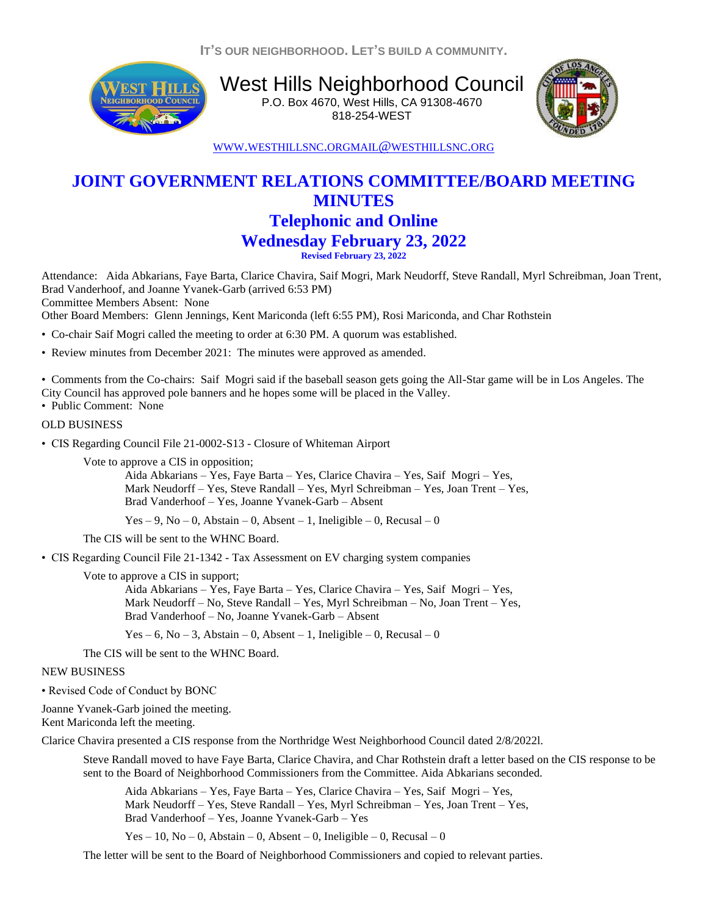**IT'S OUR NEIGHBORHOOD. LET'S BUILD A COMMUNITY.**



West Hills Neighborhood Council P.O. Box 4670, West Hills, CA 91308-4670 818-254-WEST



WWW.[WESTHILLSNC](http://www.westhillsnc.org/).ORGMAIL@[WESTHILLSNC](mailto:mail@westhillsnc.org).ORG

## **JOINT GOVERNMENT RELATIONS COMMITTEE/BOARD MEETING MINUTES Telephonic and Online Wednesday February 23, 2022 Revised February 23, 2022**

Attendance: Aida Abkarians, Faye Barta, Clarice Chavira, Saif Mogri, Mark Neudorff, Steve Randall, Myrl Schreibman, Joan Trent, Brad Vanderhoof, and Joanne Yvanek-Garb (arrived 6:53 PM) Committee Members Absent: None

Other Board Members: Glenn Jennings, Kent Mariconda (left 6:55 PM), Rosi Mariconda, and Char Rothstein

- Co-chair Saif Mogri called the meeting to order at 6:30 PM. A quorum was established.
- Review minutes from December 2021: The minutes were approved as amended.

• Comments from the Co-chairs: Saif Mogri said if the baseball season gets going the All-Star game will be in Los Angeles. The City Council has approved pole banners and he hopes some will be placed in the Valley.

• Public Comment: None

## OLD BUSINESS

• CIS Regarding Council File 21-0002-S13 - Closure of Whiteman Airport

Vote to approve a CIS in opposition;

Aida Abkarians – Yes, Faye Barta – Yes, Clarice Chavira – Yes, Saif Mogri – Yes, Mark Neudorff – Yes, Steve Randall – Yes, Myrl Schreibman – Yes, Joan Trent – Yes, Brad Vanderhoof – Yes, Joanne Yvanek-Garb – Absent

Yes – 9, No – 0, Abstain – 0, Absent – 1, Ineligible – 0, Recusal – 0

The CIS will be sent to the WHNC Board.

• CIS Regarding Council File 21-1342 - Tax Assessment on EV charging system companies

Vote to approve a CIS in support;

Aida Abkarians – Yes, Faye Barta – Yes, Clarice Chavira – Yes, Saif Mogri – Yes, Mark Neudorff – No, Steve Randall – Yes, Myrl Schreibman – No, Joan Trent – Yes, Brad Vanderhoof – No, Joanne Yvanek-Garb – Absent

Yes – 6, No – 3, Abstain – 0, Absent – 1, Ineligible – 0, Recusal – 0

The CIS will be sent to the WHNC Board.

## NEW BUSINESS

• Revised Code of Conduct by BONC

Joanne Yvanek-Garb joined the meeting. Kent Mariconda left the meeting.

Clarice Chavira presented a CIS response from the Northridge West Neighborhood Council dated 2/8/2022l.

Steve Randall moved to have Faye Barta, Clarice Chavira, and Char Rothstein draft a letter based on the CIS response to be sent to the Board of Neighborhood Commissioners from the Committee. Aida Abkarians seconded.

Aida Abkarians – Yes, Faye Barta – Yes, Clarice Chavira – Yes, Saif Mogri – Yes, Mark Neudorff – Yes, Steve Randall – Yes, Myrl Schreibman – Yes, Joan Trent – Yes, Brad Vanderhoof – Yes, Joanne Yvanek-Garb – Yes

Yes – 10, No – 0, Abstain – 0, Absent – 0, Ineligible – 0, Recusal – 0

The letter will be sent to the Board of Neighborhood Commissioners and copied to relevant parties.